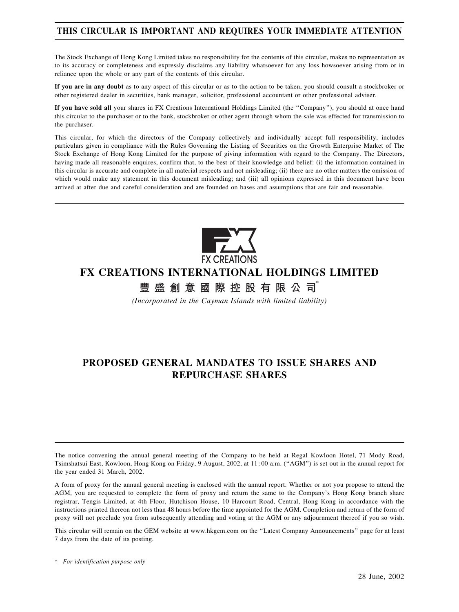## THIS CIRCULAR IS IMPORTANT AND REQUIRES YOUR IMMEDIATE ATTENTION

The Stock Exchange of Hong Kong Limited takes no responsibility for the contents of this circular, makes no representation as to its accuracy or completeness and expressly disclaims any liability whatsoever for any loss howsoever arising from or in reliance upon the whole or any part of the contents of this circular.

If you are in any doubt as to any aspect of this circular or as to the action to be taken, you should consult a stockbroker or other registered dealer in securities, bank manager, solicitor, professional accountant or other professional adviser.

If you have sold all your shares in FX Creations International Holdings Limited (the ''Company''), you should at once hand this circular to the purchaser or to the bank, stockbroker or other agent through whom the sale was effected for transmission to the purchaser.

This circular, for which the directors of the Company collectively and individually accept full responsibility, includes particulars given in compliance with the Rules Governing the Listing of Securities on the Growth Enterprise Market of The Stock Exchange of Hong Kong Limited for the purpose of giving information with regard to the Company. The Directors, having made all reasonable enquires, confirm that, to the best of their knowledge and belief: (i) the information contained in this circular is accurate and complete in all material respects and not misleading; (ii) there are no other matters the omission of which would make any statement in this document misleading; and (iii) all opinions expressed in this document have been arrived at after due and careful consideration and are founded on bases and assumptions that are fair and reasonable.



# FX CREATIONS INTERNATIONAL HOLDINGS LIMITED

豐盛創意國際控股有限公司

(Incorporated in the Cayman Islands with limited liability)

# PROPOSED GENERAL MANDATES TO ISSUE SHARES AND REPURCHASE SHARES

The notice convening the annual general meeting of the Company to be held at Regal Kowloon Hotel, 71 Mody Road, Tsimshatsui East, Kowloon, Hong Kong on Friday, 9 August, 2002, at 11: 00 a.m. (''AGM'') is set out in the annual report for the year ended 31 March, 2002.

A form of proxy for the annual general meeting is enclosed with the annual report. Whether or not you propose to attend the AGM, you are requested to complete the form of proxy and return the same to the Company's Hong Kong branch share registrar, Tengis Limited, at 4th Floor, Hutchison House, 10 Harcourt Road, Central, Hong Kong in accordance with the instructions printed thereon not less than 48 hours before the time appointed for the AGM. Completion and return of the form of proxy will not preclude you from subsequently attending and voting at the AGM or any adjournment thereof if you so wish.

This circular will remain on the GEM website at www.hkgem.com on the ''Latest Company Announcements'' page for at least 7 days from the date of its posting.

<sup>\*</sup> For identification purpose only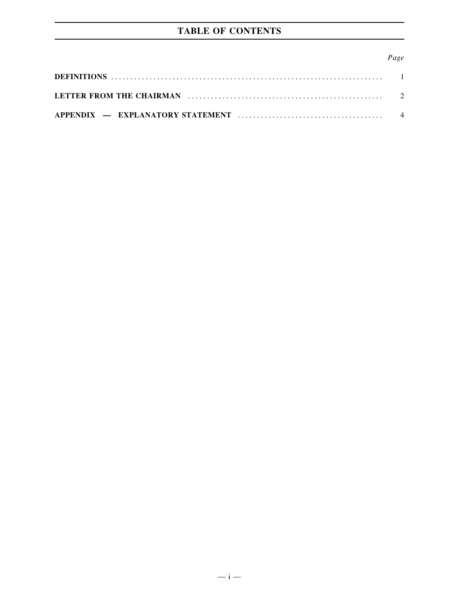# TABLE OF CONTENTS

| Page |
|------|
|      |
|      |
|      |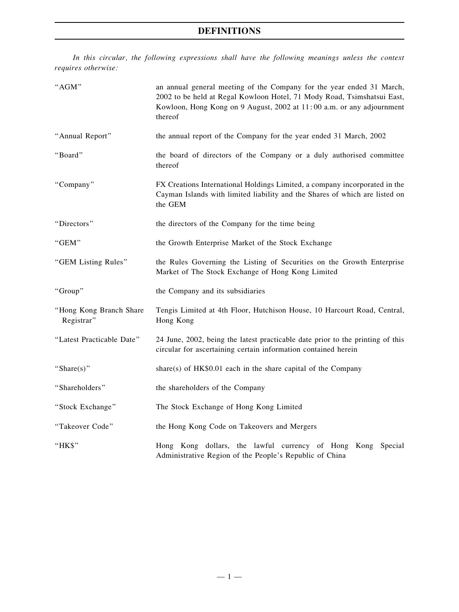## DEFINITIONS

In this circular, the following expressions shall have the following meanings unless the context requires otherwise:

| "AGM"                                 | an annual general meeting of the Company for the year ended 31 March,<br>2002 to be held at Regal Kowloon Hotel, 71 Mody Road, Tsimshatsui East,<br>Kowloon, Hong Kong on 9 August, 2002 at 11:00 a.m. or any adjournment<br>thereof |
|---------------------------------------|--------------------------------------------------------------------------------------------------------------------------------------------------------------------------------------------------------------------------------------|
| "Annual Report"                       | the annual report of the Company for the year ended 31 March, 2002                                                                                                                                                                   |
| "Board"                               | the board of directors of the Company or a duly authorised committee<br>thereof                                                                                                                                                      |
| "Company"                             | FX Creations International Holdings Limited, a company incorporated in the<br>Cayman Islands with limited liability and the Shares of which are listed on<br>the GEM                                                                 |
| "Directors"                           | the directors of the Company for the time being                                                                                                                                                                                      |
| "GEM"                                 | the Growth Enterprise Market of the Stock Exchange                                                                                                                                                                                   |
| "GEM Listing Rules"                   | the Rules Governing the Listing of Securities on the Growth Enterprise<br>Market of The Stock Exchange of Hong Kong Limited                                                                                                          |
| "Group"                               | the Company and its subsidiaries                                                                                                                                                                                                     |
| "Hong Kong Branch Share<br>Registrar" | Tengis Limited at 4th Floor, Hutchison House, 10 Harcourt Road, Central,<br>Hong Kong                                                                                                                                                |
| "Latest Practicable Date"             | 24 June, 2002, being the latest practicable date prior to the printing of this<br>circular for ascertaining certain information contained herein                                                                                     |
| "Share $(s)$ "                        | share(s) of $HK$0.01$ each in the share capital of the Company                                                                                                                                                                       |
| "Shareholders"                        | the shareholders of the Company                                                                                                                                                                                                      |
| "Stock Exchange"                      | The Stock Exchange of Hong Kong Limited                                                                                                                                                                                              |
| "Takeover Code"                       | the Hong Kong Code on Takeovers and Mergers                                                                                                                                                                                          |
| "HK\$"                                | Hong Kong dollars, the lawful currency of Hong Kong Special<br>Administrative Region of the People's Republic of China                                                                                                               |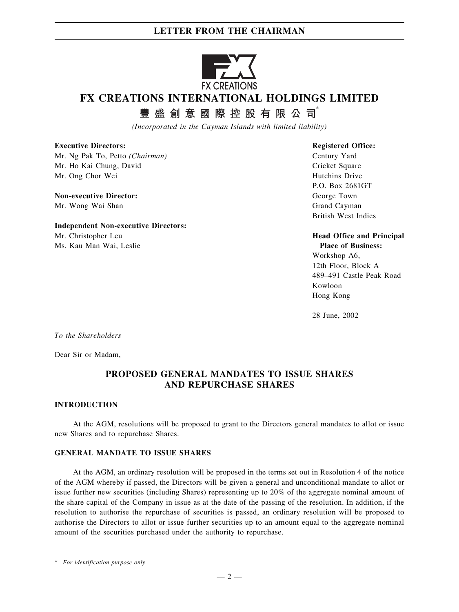## LETTER FROM THE CHAIRMAN



# FX CREATIONS INTERNATIONAL HOLDINGS LIMITED

豐盛創意國際控股有限公司

(Incorporated in the Cayman Islands with limited liability)

### Executive Directors:

Mr. Ng Pak To, Petto (Chairman) Mr. Ho Kai Chung, David Mr. Ong Chor Wei

#### Non-executive Director: Mr. Wong Wai Shan

Independent Non-executive Directors: Mr. Christopher Leu Ms. Kau Man Wai, Leslie

Registered Office: Century Yard Cricket Square Hutchins Drive P.O. Box 2681GT George Town Grand Cayman British West Indies

#### Head Office and Principal Place of Business:

Workshop A6, 12th Floor, Block A 489–491 Castle Peak Road Kowloon Hong Kong

28 June, 2002

To the Shareholders

Dear Sir or Madam,

## PROPOSED GENERAL MANDATES TO ISSUE SHARES AND REPURCHASE SHARES

#### INTRODUCTION

At the AGM, resolutions will be proposed to grant to the Directors general mandates to allot or issue new Shares and to repurchase Shares.

### GENERAL MANDATE TO ISSUE SHARES

At the AGM, an ordinary resolution will be proposed in the terms set out in Resolution 4 of the notice of the AGM whereby if passed, the Directors will be given a general and unconditional mandate to allot or issue further new securities (including Shares) representing up to 20% of the aggregate nominal amount of the share capital of the Company in issue as at the date of the passing of the resolution. In addition, if the resolution to authorise the repurchase of securities is passed, an ordinary resolution will be proposed to authorise the Directors to allot or issue further securities up to an amount equal to the aggregate nominal amount of the securities purchased under the authority to repurchase.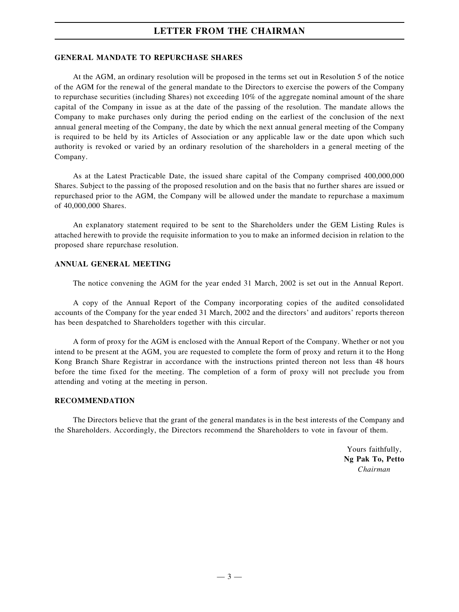## LETTER FROM THE CHAIRMAN

#### GENERAL MANDATE TO REPURCHASE SHARES

At the AGM, an ordinary resolution will be proposed in the terms set out in Resolution 5 of the notice of the AGM for the renewal of the general mandate to the Directors to exercise the powers of the Company to repurchase securities (including Shares) not exceeding 10% of the aggregate nominal amount of the share capital of the Company in issue as at the date of the passing of the resolution. The mandate allows the Company to make purchases only during the period ending on the earliest of the conclusion of the next annual general meeting of the Company, the date by which the next annual general meeting of the Company is required to be held by its Articles of Association or any applicable law or the date upon which such authority is revoked or varied by an ordinary resolution of the shareholders in a general meeting of the Company.

As at the Latest Practicable Date, the issued share capital of the Company comprised 400,000,000 Shares. Subject to the passing of the proposed resolution and on the basis that no further shares are issued or repurchased prior to the AGM, the Company will be allowed under the mandate to repurchase a maximum of 40,000,000 Shares.

An explanatory statement required to be sent to the Shareholders under the GEM Listing Rules is attached herewith to provide the requisite information to you to make an informed decision in relation to the proposed share repurchase resolution.

#### ANNUAL GENERAL MEETING

The notice convening the AGM for the year ended 31 March, 2002 is set out in the Annual Report.

A copy of the Annual Report of the Company incorporating copies of the audited consolidated accounts of the Company for the year ended 31 March, 2002 and the directors' and auditors' reports thereon has been despatched to Shareholders together with this circular.

A form of proxy for the AGM is enclosed with the Annual Report of the Company. Whether or not you intend to be present at the AGM, you are requested to complete the form of proxy and return it to the Hong Kong Branch Share Registrar in accordance with the instructions printed thereon not less than 48 hours before the time fixed for the meeting. The completion of a form of proxy will not preclude you from attending and voting at the meeting in person.

### RECOMMENDATION

The Directors believe that the grant of the general mandates is in the best interests of the Company and the Shareholders. Accordingly, the Directors recommend the Shareholders to vote in favour of them.

> Yours faithfully, Ng Pak To, Petto Chairman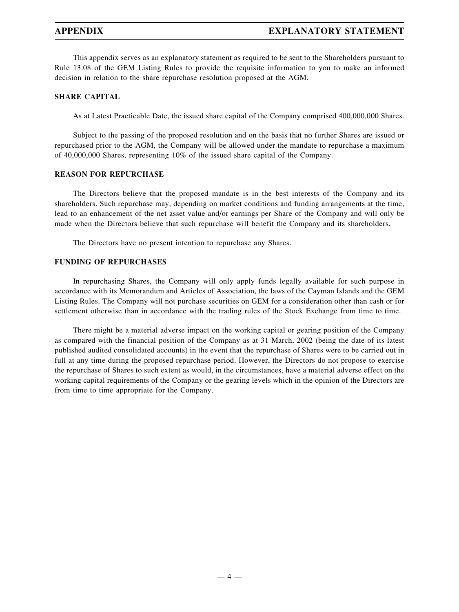### APPENDIX EXPLANATORY STATEMENT

This appendix serves as an explanatory statement as required to be sent to the Shareholders pursuant to Rule 13.08 of the GEM Listing Rules to provide the requisite information to you to make an informed decision in relation to the share repurchase resolution proposed at the AGM.

### SHARE CAPITAL

As at Latest Practicable Date, the issued share capital of the Company comprised 400,000,000 Shares.

Subject to the passing of the proposed resolution and on the basis that no further Shares are issued or repurchased prior to the AGM, the Company will be allowed under the mandate to repurchase a maximum of 40,000,000 Shares, representing 10% of the issued share capital of the Company.

#### REASON FOR REPURCHASE

The Directors believe that the proposed mandate is in the best interests of the Company and its shareholders. Such repurchase may, depending on market conditions and funding arrangements at the time, lead to an enhancement of the net asset value and/or earnings per Share of the Company and will only be made when the Directors believe that such repurchase will benefit the Company and its shareholders.

The Directors have no present intention to repurchase any Shares.

#### FUNDING OF REPURCHASES

In repurchasing Shares, the Company will only apply funds legally available for such purpose in accordance with its Memorandum and Articles of Association, the laws of the Cayman Islands and the GEM Listing Rules. The Company will not purchase securities on GEM for a consideration other than cash or for settlement otherwise than in accordance with the trading rules of the Stock Exchange from time to time.

There might be a material adverse impact on the working capital or gearing position of the Company as compared with the financial position of the Company as at 31 March, 2002 (being the date of its latest published audited consolidated accounts) in the event that the repurchase of Shares were to be carried out in full at any time during the proposed repurchase period. However, the Directors do not propose to exercise the repurchase of Shares to such extent as would, in the circumstances, have a material adverse effect on the working capital requirements of the Company or the gearing levels which in the opinion of the Directors are from time to time appropriate for the Company.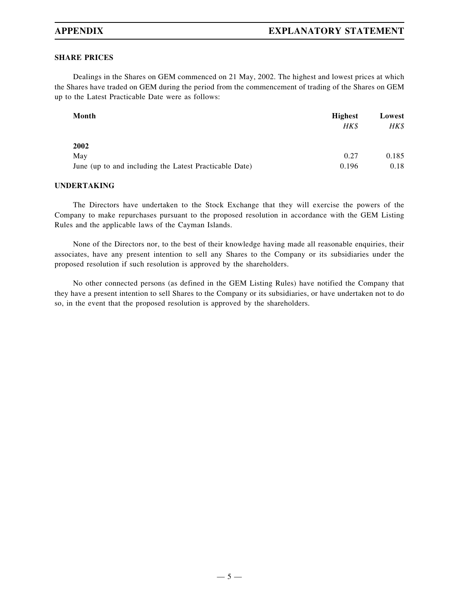## APPENDIX EXPLANATORY STATEMENT

### SHARE PRICES

Dealings in the Shares on GEM commenced on 21 May, 2002. The highest and lowest prices at which the Shares have traded on GEM during the period from the commencement of trading of the Shares on GEM up to the Latest Practicable Date were as follows:

| Month                                                  | <b>Highest</b> | Lowest |
|--------------------------------------------------------|----------------|--------|
|                                                        | HK\$           | HK\$   |
| 2002                                                   |                |        |
| May                                                    | 0.27           | 0.185  |
| June (up to and including the Latest Practicable Date) | 0.196          | 0.18   |

#### UNDERTAKING

The Directors have undertaken to the Stock Exchange that they will exercise the powers of the Company to make repurchases pursuant to the proposed resolution in accordance with the GEM Listing Rules and the applicable laws of the Cayman Islands.

None of the Directors nor, to the best of their knowledge having made all reasonable enquiries, their associates, have any present intention to sell any Shares to the Company or its subsidiaries under the proposed resolution if such resolution is approved by the shareholders.

No other connected persons (as defined in the GEM Listing Rules) have notified the Company that they have a present intention to sell Shares to the Company or its subsidiaries, or have undertaken not to do so, in the event that the proposed resolution is approved by the shareholders.